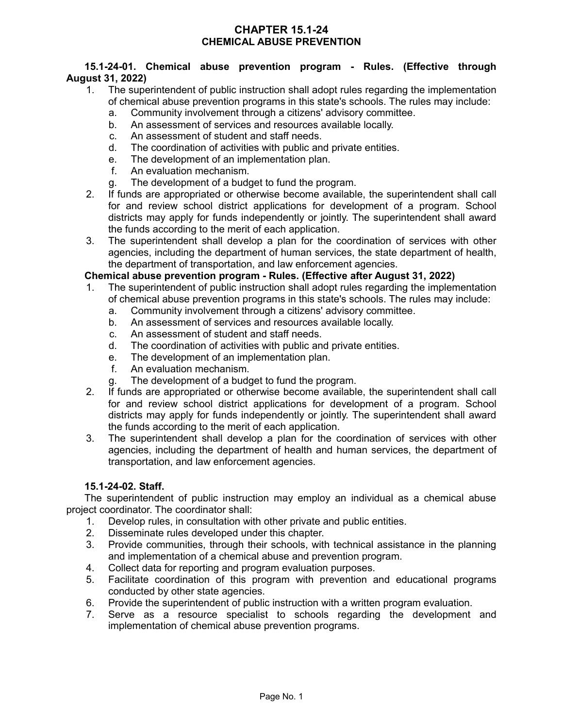# **CHAPTER 15.1-24 CHEMICAL ABUSE PREVENTION**

## **15.1-24-01. Chemical abuse prevention program - Rules. (Effective through August 31, 2022)**

- 1. The superintendent of public instruction shall adopt rules regarding the implementation of chemical abuse prevention programs in this state's schools. The rules may include:
	- a. Community involvement through a citizens' advisory committee.
	- b. An assessment of services and resources available locally.
	- c. An assessment of student and staff needs.
	- d. The coordination of activities with public and private entities.
	- e. The development of an implementation plan.
	- f. An evaluation mechanism.
	- g. The development of a budget to fund the program.
- 2. If funds are appropriated or otherwise become available, the superintendent shall call for and review school district applications for development of a program. School districts may apply for funds independently or jointly. The superintendent shall award the funds according to the merit of each application.
- 3. The superintendent shall develop a plan for the coordination of services with other agencies, including the department of human services, the state department of health, the department of transportation, and law enforcement agencies.

# **Chemical abuse prevention program - Rules. (Effective after August 31, 2022)**

- 1. The superintendent of public instruction shall adopt rules regarding the implementation of chemical abuse prevention programs in this state's schools. The rules may include:
	- a. Community involvement through a citizens' advisory committee.
	- b. An assessment of services and resources available locally.
	- c. An assessment of student and staff needs.
	- d. The coordination of activities with public and private entities.
	- e. The development of an implementation plan.
	- f. An evaluation mechanism.
	- g. The development of a budget to fund the program.
- 2. If funds are appropriated or otherwise become available, the superintendent shall call for and review school district applications for development of a program. School districts may apply for funds independently or jointly. The superintendent shall award the funds according to the merit of each application.
- 3. The superintendent shall develop a plan for the coordination of services with other agencies, including the department of health and human services, the department of transportation, and law enforcement agencies.

## **15.1-24-02. Staff.**

The superintendent of public instruction may employ an individual as a chemical abuse project coordinator. The coordinator shall:

- 1. Develop rules, in consultation with other private and public entities.
- 2. Disseminate rules developed under this chapter.
- 3. Provide communities, through their schools, with technical assistance in the planning and implementation of a chemical abuse and prevention program.
- 4. Collect data for reporting and program evaluation purposes.
- 5. Facilitate coordination of this program with prevention and educational programs conducted by other state agencies.
- 6. Provide the superintendent of public instruction with a written program evaluation.
- 7. Serve as a resource specialist to schools regarding the development and implementation of chemical abuse prevention programs.